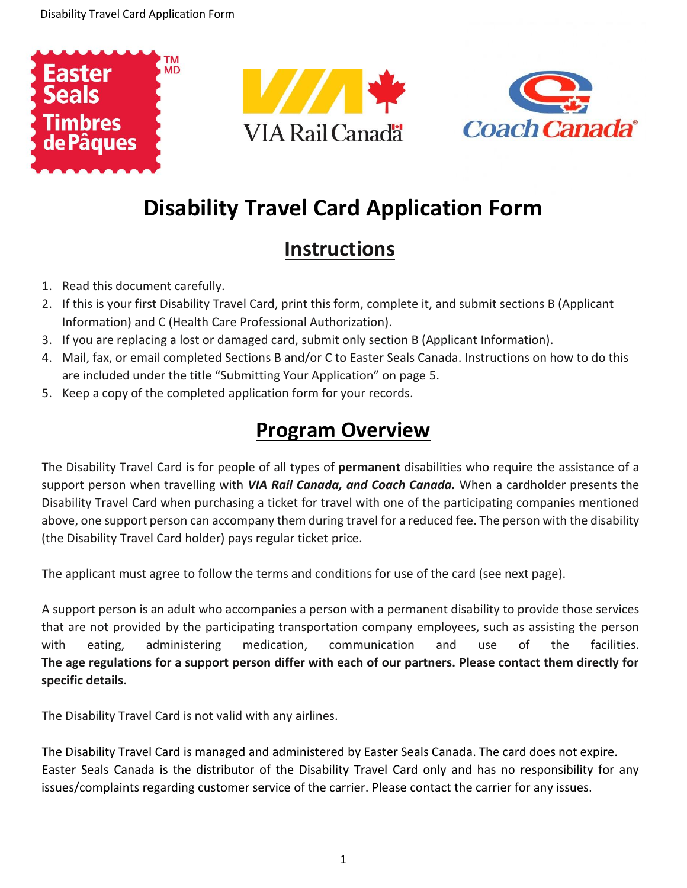





# **Disability Travel Card Application Form**

## **Instructions**

- 1. Read this document carefully.
- 2. If this is your first Disability Travel Card, print this form, complete it, and submit sections B (Applicant Information) and C (Health Care Professional Authorization).
- 3. If you are replacing a lost or damaged card, submit only section B (Applicant Information).
- 4. Mail, fax, or email completed Sections B and/or C to Easter Seals Canada. Instructions on how to do this are included under the title "Submitting Your Application" on page 5.
- 5. Keep a copy of the completed application form for your records.

### **Program Overview**

The Disability Travel Card is for people of all types of **permanent** disabilities who require the assistance of a support person when travelling with *VIA Rail Canada, and Coach Canada.* When a cardholder presents the Disability Travel Card when purchasing a ticket for travel with one of the participating companies mentioned above, one support person can accompany them during travel for a reduced fee. The person with the disability (the Disability Travel Card holder) pays regular ticket price.

The applicant must agree to follow the terms and conditions for use of the card (see next page).

A support person is an adult who accompanies a person with a permanent disability to provide those services that are not provided by the participating transportation company employees, such as assisting the person with eating, administering medication, communication and use of the facilities. **The age regulations for a support person differ with each of our partners. Please contact them directly for specific details.**

The Disability Travel Card is not valid with any airlines.

The Disability Travel Card is managed and administered by Easter Seals Canada. The card does not expire. Easter Seals Canada is the distributor of the Disability Travel Card only and has no responsibility for any issues/complaints regarding customer service of the carrier. Please contact the carrier for any issues.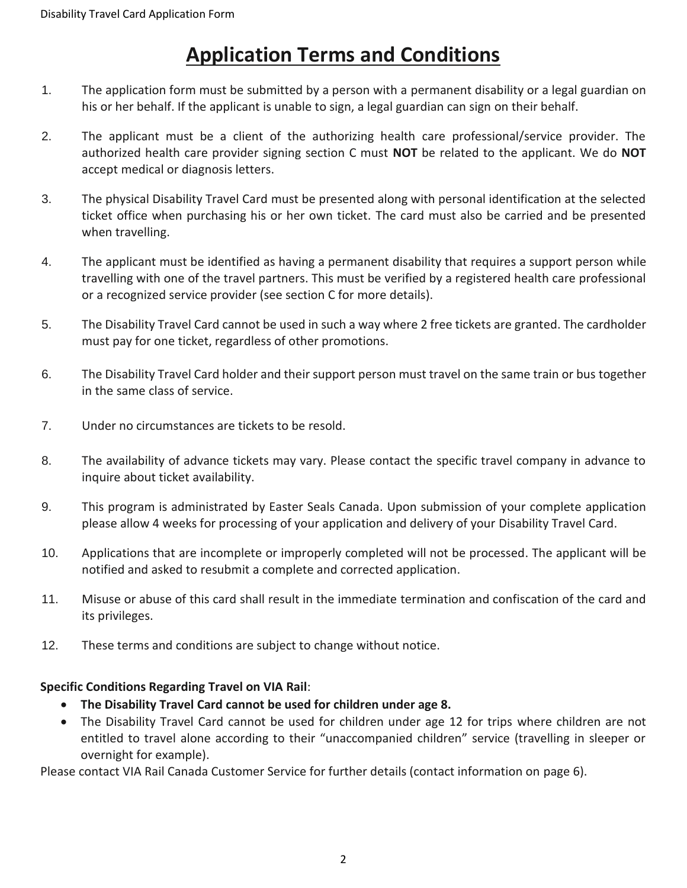### **Application Terms and Conditions**

- 1. The application form must be submitted by a person with a permanent disability or a legal guardian on his or her behalf. If the applicant is unable to sign, a legal guardian can sign on their behalf.
- 2. The applicant must be a client of the authorizing health care professional/service provider. The authorized health care provider signing section C must **NOT** be related to the applicant. We do **NOT** accept medical or diagnosis letters.
- 3. The physical Disability Travel Card must be presented along with personal identification at the selected ticket office when purchasing his or her own ticket. The card must also be carried and be presented when travelling.
- 4. The applicant must be identified as having a permanent disability that requires a support person while travelling with one of the travel partners. This must be verified by a registered health care professional or a recognized service provider (see section C for more details).
- 5. The Disability Travel Card cannot be used in such a way where 2 free tickets are granted. The cardholder must pay for one ticket, regardless of other promotions.
- 6. The Disability Travel Card holder and their support person must travel on the same train or bus together in the same class of service.
- 7. Under no circumstances are tickets to be resold.
- 8. The availability of advance tickets may vary. Please contact the specific travel company in advance to inquire about ticket availability.
- 9. This program is administrated by Easter Seals Canada. Upon submission of your complete application please allow 4 weeks for processing of your application and delivery of your Disability Travel Card.
- 10. Applications that are incomplete or improperly completed will not be processed. The applicant will be notified and asked to resubmit a complete and corrected application.
- 11. Misuse or abuse of this card shall result in the immediate termination and confiscation of the card and its privileges.
- 12. These terms and conditions are subject to change without notice.

#### **Specific Conditions Regarding Travel on VIA Rail**:

- **The Disability Travel Card cannot be used for children under age 8.**
- The Disability Travel Card cannot be used for children under age 12 for trips where children are not entitled to travel alone according to their "unaccompanied children" service (travelling in sleeper or overnight for example).

Please contact VIA Rail Canada Customer Service for further details (contact information on page 6).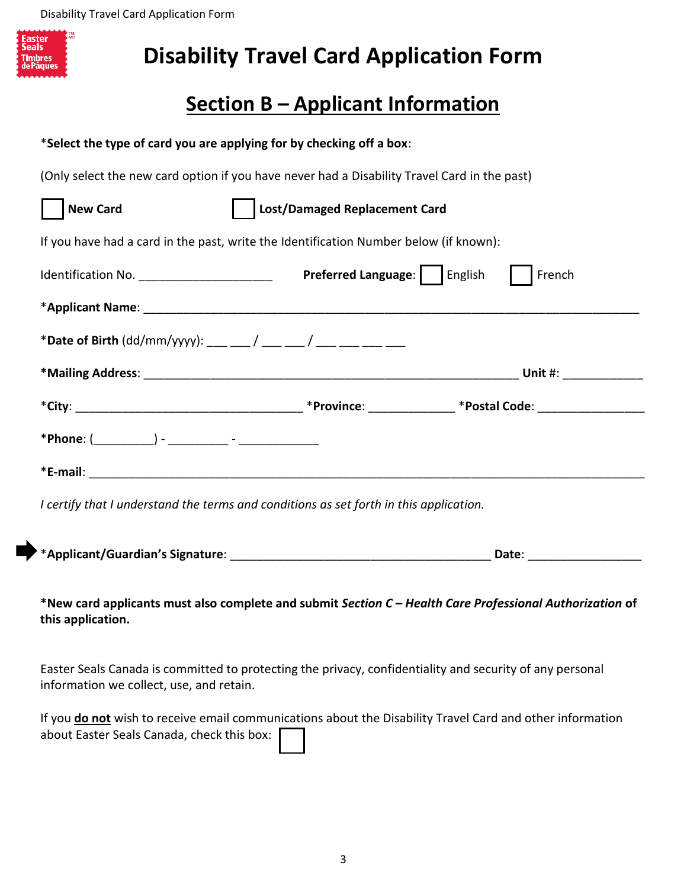Disability Travel Card Application Form

| Easter         |  |
|----------------|--|
| <b>Seals</b>   |  |
|                |  |
| <b>Timbres</b> |  |
|                |  |
| de Pâques      |  |
|                |  |
|                |  |

# **Disability Travel Card Application Form**

# **Section B – Applicant Information**

| *Select the type of card you are applying for by checking off a box:                                                          |                               |        |  |  |  |
|-------------------------------------------------------------------------------------------------------------------------------|-------------------------------|--------|--|--|--|
| (Only select the new card option if you have never had a Disability Travel Card in the past)                                  |                               |        |  |  |  |
| <b>New Card</b>                                                                                                               | Lost/Damaged Replacement Card |        |  |  |  |
| If you have had a card in the past, write the Identification Number below (if known):                                         |                               |        |  |  |  |
|                                                                                                                               |                               | French |  |  |  |
|                                                                                                                               |                               |        |  |  |  |
|                                                                                                                               |                               |        |  |  |  |
|                                                                                                                               |                               |        |  |  |  |
|                                                                                                                               |                               |        |  |  |  |
|                                                                                                                               |                               |        |  |  |  |
|                                                                                                                               |                               |        |  |  |  |
| I certify that I understand the terms and conditions as set forth in this application.                                        |                               |        |  |  |  |
|                                                                                                                               |                               |        |  |  |  |
| *New card applicants must also complete and submit Section C - Health Care Professional Authorization of<br>this application. |                               |        |  |  |  |
|                                                                                                                               |                               |        |  |  |  |

Easter Seals Canada is committed to protecting the privacy, confidentiality and security of any personal information we collect, use, and retain.

|                                            | If you do not wish to receive email communications about the Disability Travel Card and other information |
|--------------------------------------------|-----------------------------------------------------------------------------------------------------------|
| about Easter Seals Canada, check this box: |                                                                                                           |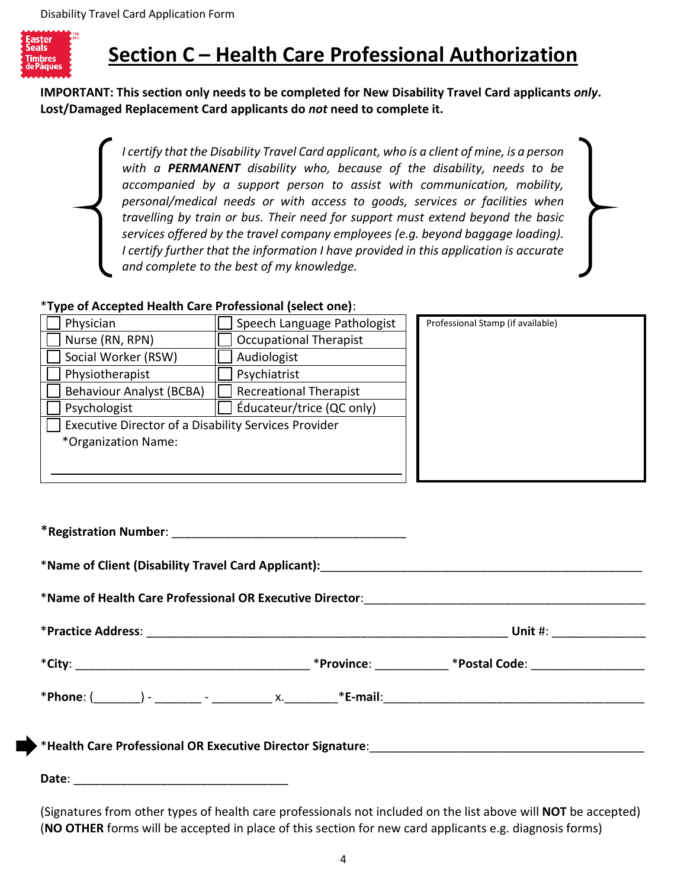

## **Section C – Health Care Professional Authorization**

**IMPORTANT: This section only needs to be completed for New Disability Travel Card applicants** *only***. Lost/Damaged Replacement Card applicants do** *not* **need to complete it.**

> *I certify that the Disability Travel Card applicant, who is a client of mine, is a person with a PERMANENT disability who, because of the disability, needs to be accompanied by a support person to assist with communication, mobility, personal/medical needs or with access to goods, services or facilities when travelling by train or bus. Their need for support must extend beyond the basic services offered by the travel company employees (e.g. beyond baggage loading). I certify further that the information I have provided in this application is accurate and complete to the best of my knowledge.*

#### \***Type of Accepted Health Care Professional (select one)**:

| Physician                                            | Speech Language Pathologist   |  |
|------------------------------------------------------|-------------------------------|--|
| Nurse (RN, RPN)                                      | <b>Occupational Therapist</b> |  |
| Social Worker (RSW)                                  | Audiologist                   |  |
| Physiotherapist                                      | Psychiatrist                  |  |
| <b>Behaviour Analyst (BCBA)</b>                      | <b>Recreational Therapist</b> |  |
| Psychologist                                         | Éducateur/trice (QC only)     |  |
| Executive Director of a Disability Services Provider |                               |  |
| *Organization Name:                                  |                               |  |
|                                                      |                               |  |
|                                                      |                               |  |

Professional Stamp (if available)

\***Registration Number**: \_\_\_\_\_\_\_\_\_\_\_\_\_\_\_\_\_\_\_\_\_\_\_\_\_\_\_\_\_\_\_\_\_\_\_ \***Name of Client (Disability Travel Card Applicant):**\_\_\_\_\_\_\_\_\_\_\_\_\_\_\_\_\_\_\_\_\_\_\_\_\_\_\_\_\_\_\_\_\_\_\_\_\_\_\_\_\_\_\_\_\_\_\_\_ \***Name of Health Care Professional OR Executive Director**:\_\_\_\_\_\_\_\_\_\_\_\_\_\_\_\_\_\_\_\_\_\_\_\_\_\_\_\_\_\_\_\_\_\_\_\_\_\_\_\_\_\_ \***Practice Address**: \_\_\_\_\_\_\_\_\_\_\_\_\_\_\_\_\_\_\_\_\_\_\_\_\_\_\_\_\_\_\_\_\_\_\_\_\_\_\_\_\_\_\_\_\_\_\_\_\_\_\_\_\_\_ **Unit** #: \_\_\_\_\_\_\_\_\_\_\_\_\_\_ \***City**: \_\_\_\_\_\_\_\_\_\_\_\_\_\_\_\_\_\_\_\_\_\_\_\_\_\_\_\_\_\_\_\_\_\_\_ \***Province**: \_\_\_\_\_\_\_\_\_\_\_ \***Postal Code**: \_\_\_\_\_\_\_\_\_\_\_\_\_\_\_\_\_ \***Phone**: (\_\_\_\_\_\_\_) - \_\_\_\_\_\_\_ - \_\_\_\_\_\_\_\_\_ x.\_\_\_\_\_\_\_\_\***E-mail**:\_\_\_\_\_\_\_\_\_\_\_\_\_\_\_\_\_\_\_\_\_\_\_\_\_\_\_\_\_\_\_\_\_\_\_\_\_\_\_ \***Health Care Professional OR Executive Director Signature**:\_\_\_\_\_\_\_\_\_\_\_\_\_\_\_\_\_\_\_\_\_\_\_\_\_\_\_\_\_\_\_\_\_\_\_\_\_\_\_\_\_

**Date**: \_\_\_\_\_\_\_\_\_\_\_\_\_\_\_\_\_\_\_\_\_\_\_\_\_\_\_\_\_\_\_\_

(Signatures from other types of health care professionals not included on the list above will **NOT** be accepted) (**NO OTHER** forms will be accepted in place of this section for new card applicants e.g. diagnosis forms)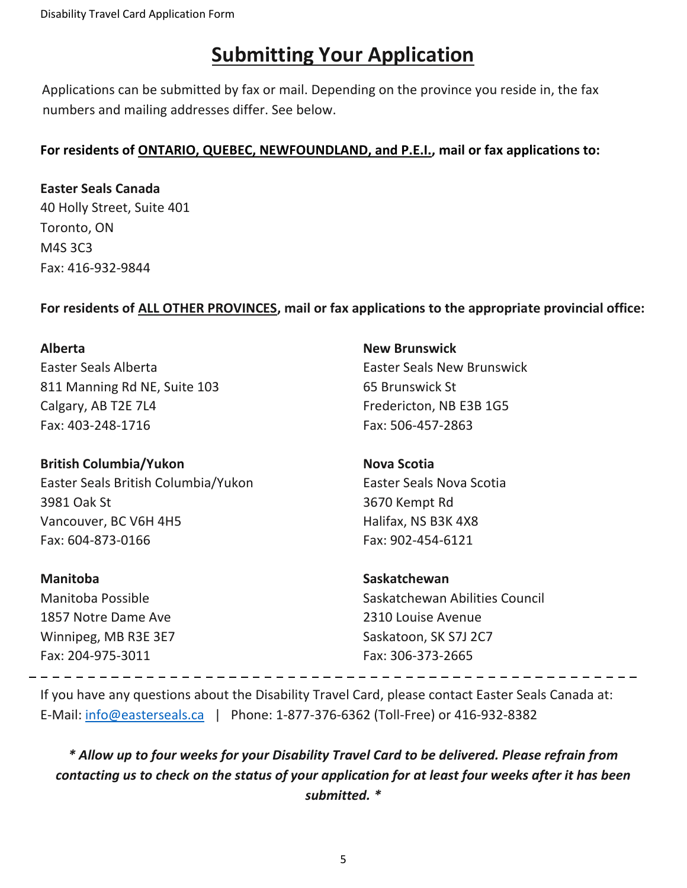Disability Travel Card Application Form

### **Submitting Your Application**

Applications can be submitted by fax or mail. Depending on the province you reside in, the fax numbers and mailing addresses differ. See below.

#### **For residents of ONTARIO, QUEBEC, NEWFOUNDLAND, and P.E.I., mail or fax applications to:**

**Easter Seals Canada** 40 Holly Street, Suite 401 Toronto, ON M4S 3C3 Fax: 416-932-9844

#### **For residents of ALL OTHER PROVINCES, mail or fax applications to the appropriate provincial office:**

#### **Alberta**

Easter Seals Alberta 811 Manning Rd NE, Suite 103 Calgary, AB T2E 7L4 Fax: 403-248-1716

**British Columbia/Yukon** Easter Seals British Columbia/Yukon 3981 Oak St Vancouver, BC V6H 4H5 Fax: 604-873-0166

#### **Manitoba**

Manitoba Possible 1857 Notre Dame Ave Winnipeg, MB R3E 3E7 Fax: 204-975-3011

#### **New Brunswick**

Easter Seals New Brunswick 65 Brunswick St Fredericton, NB E3B 1G5 Fax: 506-457-2863

#### **Nova Scotia**

Easter Seals Nova Scotia 3670 Kempt Rd Halifax, NS B3K 4X8 Fax: 902-454-6121

#### **Saskatchewan**

Saskatchewan Abilities Council 2310 Louise Avenue Saskatoon, SK S7J 2C7 Fax: 306-373-2665

If you have any questions about the Disability Travel Card, please contact Easter Seals Canada at: E-Mail: [info@easterseals.ca](mailto:info@easterseals.ca) | Phone: 1-877-376-6362 (Toll-Free) or 416-932-8382

*\* Allow up to four weeks for your Disability Travel Card to be delivered. Please refrain from contacting us to check on the status of your application for at least four weeks after it has been submitted. \**